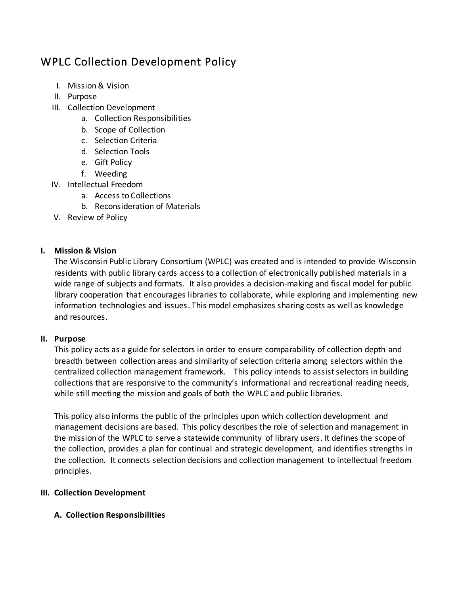# WPLC Collection Development Policy

- I. Mission & Vision
- II. Purpose
- III. Collection Development
	- a. Collection Responsibilities
	- b. Scope of Collection
	- c. Selection Criteria
	- d. Selection Tools
	- e. Gift Policy
	- f. Weeding
- IV. Intellectual Freedom
	- a. Access to Collections
	- b. Reconsideration of Materials
- V. Review of Policy

# **I. Mission & Vision**

The Wisconsin Public Library Consortium (WPLC) was created and is intended to provide Wisconsin residents with public library cards access to a collection of electronically published materials in a wide range of subjects and formats. It also provides a decision-making and fiscal model for public library cooperation that encourages libraries to collaborate, while exploring and implementing new information technologies and issues. This model emphasizes sharing costs as well as knowledge and resources.

## **II. Purpose**

This policy acts as a guide for selectors in order to ensure comparability of collection depth and breadth between collection areas and similarity of selection criteria among selectors within the centralized collection management framework. This policy intends to assist selectors in building collections that are responsive to the community's informational and recreational reading needs, while still meeting the mission and goals of both the WPLC and public libraries.

This policy also informs the public of the principles upon which collection development and management decisions are based. This policy describes the role of selection and management in the mission of the WPLC to serve a statewide community of library users. It defines the scope of the collection, provides a plan for continual and strategic development, and identifies strengths in the collection. It connects selection decisions and collection management to intellectual freedom principles.

# **III. Collection Development**

# **A. Collection Responsibilities**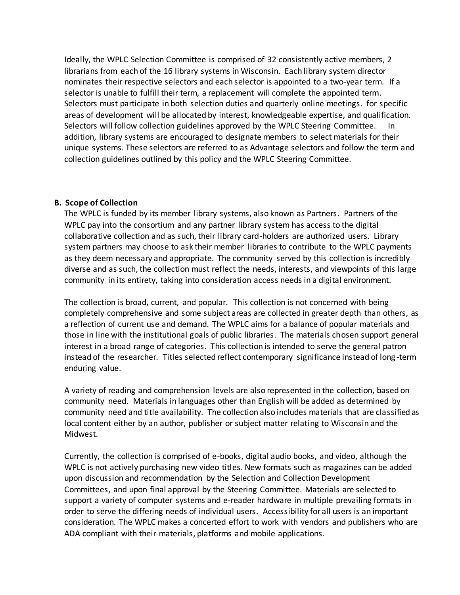Ideally, the WPLC Selection Committee is comprised of 32 consistently active members, 2 librarians from each of the 16 library systems in Wisconsin. Each library system director nominates their respective selectors and each selector is appointed to a two-year term. If a selector is unable to fulfill their term, a replacement will complete the appointed term. Selectors must participate in both selection duties and quarterly online meetings. for specific areas of development will be allocated by interest, knowledgeable expertise, and qualification. Selectors will follow collection guidelines approved by the WPLC Steering Committee. In addition, library systems are encouraged to designate members to select materials for their unique systems. These selectors are referred to as Advantage selectors and follow the term and collection guidelines outlined by this policy and the WPLC Steering Committee.

#### **B. Scope of Collection**

The WPLC is funded by its member library systems, also known as Partners. Partners of the WPLC pay into the consortium and any partner library system has access to the digital collaborative collection and as such, their library card-holders are authorized users. Library system partners may choose to ask their member libraries to contribute to the WPLC payments as they deem necessary and appropriate. The community served by this collection is incredibly diverse and as such, the collection must reflect the needs, interests, and viewpoints of this large community in its entirety, taking into consideration access needs in a digital environment.

The collection is broad, current, and popular. This collection is not concerned with being completely comprehensive and some subject areas are collected in greater depth than others, as a reflection of current use and demand. The WPLC aims for a balance of popular materials and those in line with the institutional goals of public libraries. The materials chosen support general interest in a broad range of categories. This collection is intended to serve the general patron instead of the researcher. Titles selected reflect contemporary significance instead of long -term enduring value.

A variety of reading and comprehension levels are also represented in the collection, based on community need. Materials in languages other than English will be added as determined by community need and title availability. The collection also includes materials that are classified as local content either by an author, publisher or subject matter relating to Wisconsin and the Midwest.

Currently, the collection is comprised of e-books, digital audio books, and video, although the WPLC is not actively purchasing new video titles. New formats such as magazines can be added upon discussion and recommendation by the Selection and Collection Development Committees, and upon final approval by the Steering Committee. Materials are selected to support a variety of computer systems and e-reader hardware in multiple prevailing formats in order to serve the differing needs of individual users. Accessibility for all users is an important consideration. The WPLC makes a concerted effort to work with vendors and publishers who are ADA compliant with their materials, platforms and mobile applications.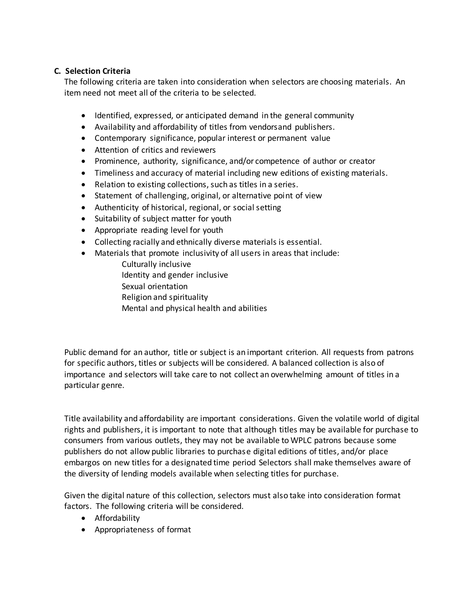### **C. Selection Criteria**

The following criteria are taken into consideration when selectors are choosing materials. An item need not meet all of the criteria to be selected.

- Identified, expressed, or anticipated demand in the general community
- Availability and affordability of titles from vendorsand publishers.
- Contemporary significance, popular interest or permanent value
- Attention of critics and reviewers
- Prominence, authority, significance, and/or competence of author or creator
- Timeliness and accuracy of material including new editions of existing materials.
- Relation to existing collections, such as titles in a series.
- Statement of challenging, original, or alternative point of view
- Authenticity of historical, regional, or social setting
- Suitability of subject matter for youth
- Appropriate reading level for youth
- Collecting racially and ethnically diverse materials is essential.
- Materials that promote inclusivity of all users in areas that include:
	- Culturally inclusive Identity and gender inclusive Sexual orientation Religion and spirituality Mental and physical health and abilities

Public demand for an author, title or subject is an important criterion. All requests from patrons for specific authors, titles or subjects will be considered. A balanced collection is also of importance and selectors will take care to not collect an overwhelming amount of titles in a particular genre.

Title availability and affordability are important considerations. Given the volatile world of digital rights and publishers, it is important to note that although titles may be available for purchase to consumers from various outlets, they may not be available to WPLC patrons because some publishers do not allow public libraries to purchase digital editions of titles, and/or place embargos on new titles for a designated time period Selectors shall make themselves aware of the diversity of lending models available when selecting titles for purchase.

Given the digital nature of this collection, selectors must also take into consideration format factors. The following criteria will be considered.

- **•** Affordability
- Appropriateness of format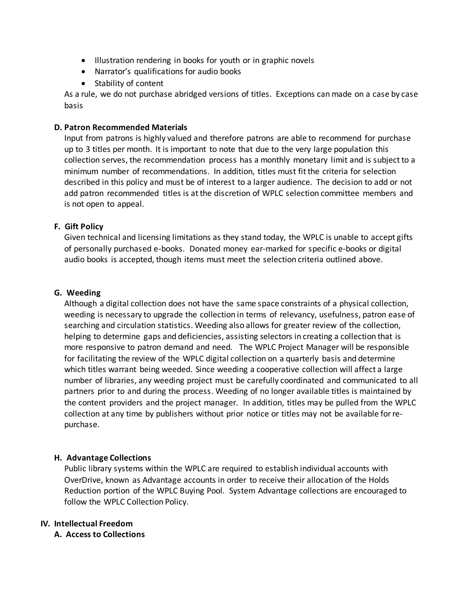- Illustration rendering in books for youth or in graphic novels
- Narrator's qualifications for audio books
- Stability of content

As a rule, we do not purchase abridged versions of titles. Exceptions can made on a case by case basis

#### **D. Patron Recommended Materials**

Input from patrons is highly valued and therefore patrons are able to recommend for purchase up to 3 titles per month. It is important to note that due to the very large population this collection serves, the recommendation process has a monthly monetary limit and is subject to a minimum number of recommendations. In addition, titles must fit the criteria for selection described in this policy and must be of interest to a larger audience. The decision to add or not add patron recommended titles is at the discretion of WPLC selection committee members and is not open to appeal.

#### **F. Gift Policy**

Given technical and licensing limitations as they stand today, the WPLC is unable to accept gifts of personally purchased e-books. Donated money ear-marked for specific e-books or digital audio books is accepted, though items must meet the selection criteria outlined above.

#### **G. Weeding**

Although a digital collection does not have the same space constraints of a physical collection, weeding is necessary to upgrade the collection in terms of relevancy, usefulness, patron ease of searching and circulation statistics. Weeding also allows for greater review of the collection, helping to determine gaps and deficiencies, assisting selectors in creating a collection that is more responsive to patron demand and need. The WPLC Project Manager will be responsible for facilitating the review of the WPLC digital collection on a quarterly basis and determine which titles warrant being weeded. Since weeding a cooperative collection will affect a large number of libraries, any weeding project must be carefully coordinated and communicated to all partners prior to and during the process. Weeding of no longer available titles is maintained by the content providers and the project manager. In addition, titles may be pulled from the WPLC collection at any time by publishers without prior notice or titles may not be available for repurchase.

#### **H. Advantage Collections**

Public library systems within the WPLC are required to establish individual accounts with OverDrive, known as Advantage accounts in order to receive their allocation of the Holds Reduction portion of the WPLC Buying Pool. System Advantage collections are encouraged to follow the WPLC Collection Policy.

#### **IV. Intellectual Freedom**

**A. Access to Collections**